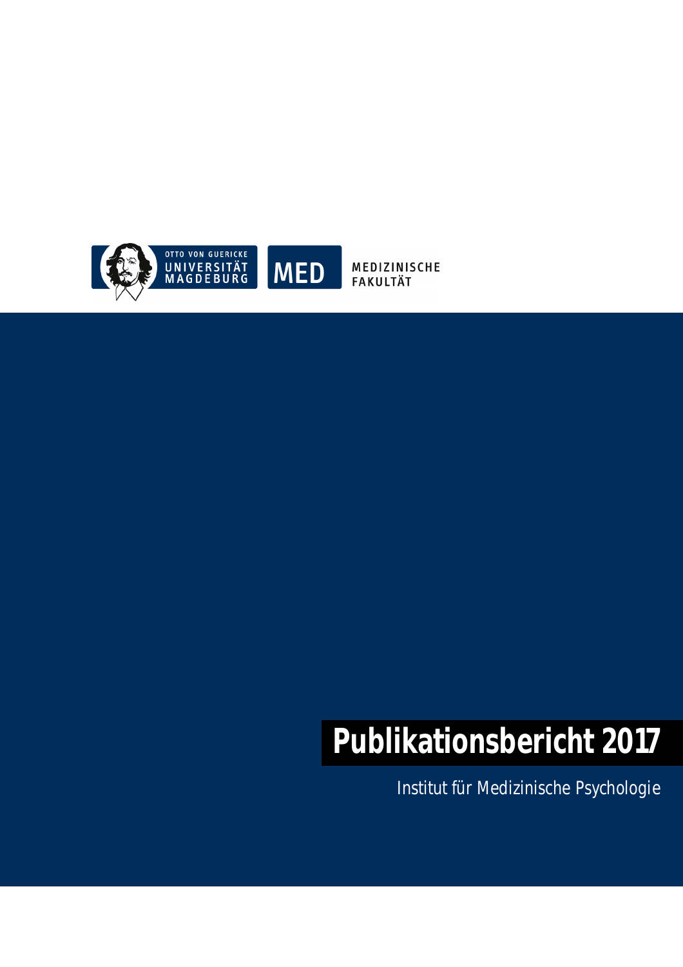

MEDIZINISCHE **FAKULTÄT** 

# **Publikationsbericht 2017**

Institut für Medizinische Psychologie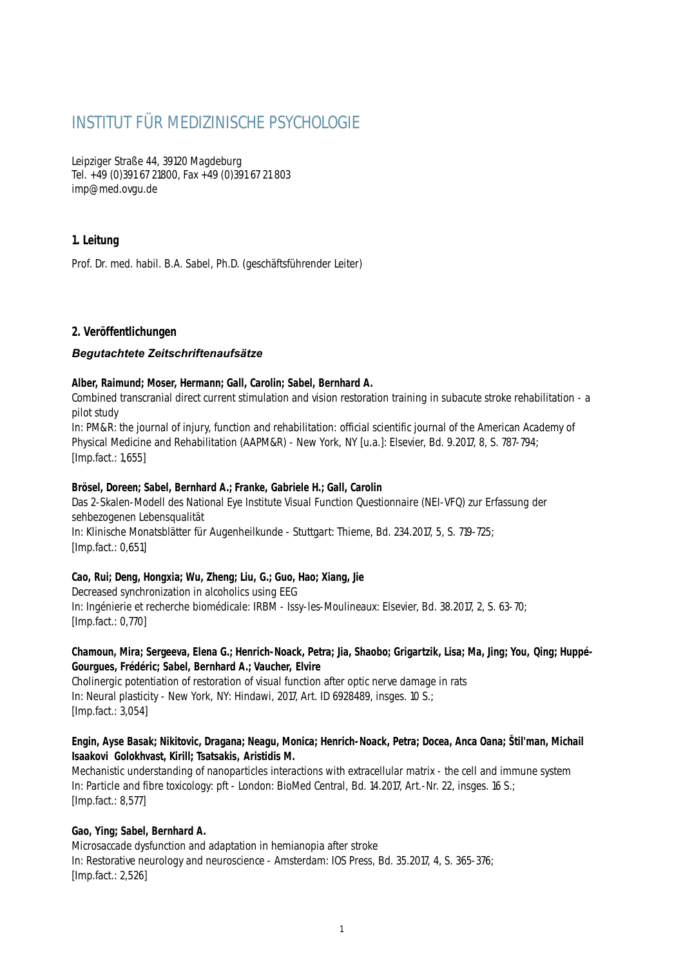# INSTITUT FÜR MEDIZINISCHE PSYCHOLOGIE

Leipziger Straße 44, 39120 Magdeburg Tel. +49 (0)391 67 21800, Fax +49 (0)391 67 21 803 imp@med.ovgu.de

# **1. Leitung**

Prof. Dr. med. habil. B.A. Sabel, Ph.D. (geschäftsführender Leiter)

# **2. Veröffentlichungen**

# *Begutachtete Zeitschriftenaufsätze*

#### **Alber, Raimund; Moser, Hermann; Gall, Carolin; Sabel, Bernhard A.**

Combined transcranial direct current stimulation and vision restoration training in subacute stroke rehabilitation - a pilot study

In: PM&R: the journal of injury, function and rehabilitation: official scientific journal of the American Academy of Physical Medicine and Rehabilitation (AAPM&R) - New York, NY [u.a.]: Elsevier, Bd. 9.2017, 8, S. 787-794; [Imp.fact.: 1,655]

#### **Brösel, Doreen; Sabel, Bernhard A.; Franke, Gabriele H.; Gall, Carolin**

Das 2-Skalen-Modell des National Eye Institute Visual Function Questionnaire (NEI-VFQ) zur Erfassung der sehbezogenen Lebensqualität

In: Klinische Monatsblätter für Augenheilkunde - Stuttgart: Thieme, Bd. 234.2017, 5, S. 719-725; [Imp.fact.: 0,651]

#### **Cao, Rui; Deng, Hongxia; Wu, Zheng; Liu, G.; Guo, Hao; Xiang, Jie**

Decreased synchronization in alcoholics using EEG In: Ingénierie et recherche biomédicale: IRBM - Issy-les-Moulineaux: Elsevier, Bd. 38.2017, 2, S. 63-70; [Imp.fact.: 0,770]

# **Chamoun, Mira; Sergeeva, Elena G.; Henrich-Noack, Petra; Jia, Shaobo; Grigartzik, Lisa; Ma, Jing; You, Qing; Huppé-Gourgues, Frédéric; Sabel, Bernhard A.; Vaucher, Elvire**

Cholinergic potentiation of restoration of visual function after optic nerve damage in rats In: Neural plasticity - New York, NY: Hindawi, 2017, Art. ID 6928489, insges. 10 S.; [Imp.fact.: 3,054]

#### **Engin, Ayse Basak; Nikitovic, Dragana; Neagu, Monica; Henrich-Noack, Petra; Docea, Anca Oana; Štil'man, Michail Isaakovi Golokhvast, Kirill; Tsatsakis, Aristidis M.**

Mechanistic understanding of nanoparticles interactions with extracellular matrix - the cell and immune system In: Particle and fibre toxicology: pft - London: BioMed Central, Bd. 14.2017, Art.-Nr. 22, insges. 16 S.; [Imp.fact.: 8,577]

#### **Gao, Ying; Sabel, Bernhard A.**

Microsaccade dysfunction and adaptation in hemianopia after stroke In: Restorative neurology and neuroscience - Amsterdam: IOS Press, Bd. 35.2017, 4, S. 365-376; [Imp.fact.: 2,526]